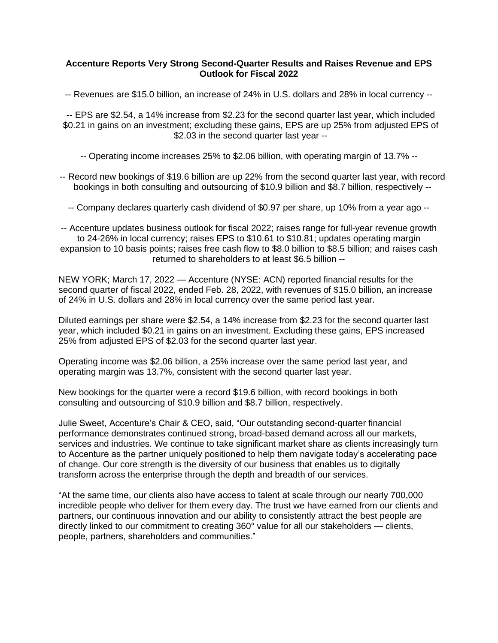#### **Accenture Reports Very Strong Second-Quarter Results and Raises Revenue and EPS Outlook for Fiscal 2022**

-- Revenues are \$15.0 billion, an increase of 24% in U.S. dollars and 28% in local currency --

-- EPS are \$2.54, a 14% increase from \$2.23 for the second quarter last year, which included \$0.21 in gains on an investment; excluding these gains, EPS are up 25% from adjusted EPS of \$2.03 in the second quarter last year --

-- Operating income increases 25% to \$2.06 billion, with operating margin of 13.7% --

-- Record new bookings of \$19.6 billion are up 22% from the second quarter last year, with record bookings in both consulting and outsourcing of \$10.9 billion and \$8.7 billion, respectively --

-- Company declares quarterly cash dividend of \$0.97 per share, up 10% from a year ago --

-- Accenture updates business outlook for fiscal 2022; raises range for full-year revenue growth to 24-26% in local currency; raises EPS to \$10.61 to \$10.81; updates operating margin expansion to 10 basis points; raises free cash flow to \$8.0 billion to \$8.5 billion; and raises cash returned to shareholders to at least \$6.5 billion --

NEW YORK; March 17, 2022 — Accenture (NYSE: ACN) reported financial results for the second quarter of fiscal 2022, ended Feb. 28, 2022, with revenues of \$15.0 billion, an increase of 24% in U.S. dollars and 28% in local currency over the same period last year.

Diluted earnings per share were \$2.54, a 14% increase from \$2.23 for the second quarter last year, which included \$0.21 in gains on an investment. Excluding these gains, EPS increased 25% from adjusted EPS of \$2.03 for the second quarter last year.

Operating income was \$2.06 billion, a 25% increase over the same period last year, and operating margin was 13.7%, consistent with the second quarter last year.

New bookings for the quarter were a record \$19.6 billion, with record bookings in both consulting and outsourcing of \$10.9 billion and \$8.7 billion, respectively.

Julie Sweet, Accenture's Chair & CEO, said, "Our outstanding second-quarter financial performance demonstrates continued strong, broad-based demand across all our markets, services and industries. We continue to take significant market share as clients increasingly turn to Accenture as the partner uniquely positioned to help them navigate today's accelerating pace of change. Our core strength is the diversity of our business that enables us to digitally transform across the enterprise through the depth and breadth of our services.

"At the same time, our clients also have access to talent at scale through our nearly 700,000 incredible people who deliver for them every day. The trust we have earned from our clients and partners, our continuous innovation and our ability to consistently attract the best people are directly linked to our commitment to creating 360° value for all our stakeholders — clients, people, partners, shareholders and communities."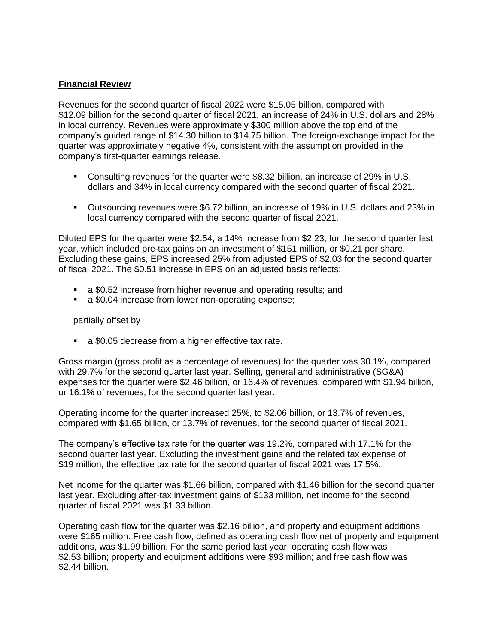### **Financial Review**

Revenues for the second quarter of fiscal 2022 were \$15.05 billion, compared with \$12.09 billion for the second quarter of fiscal 2021, an increase of 24% in U.S. dollars and 28% in local currency. Revenues were approximately \$300 million above the top end of the company's guided range of \$14.30 billion to \$14.75 billion. The foreign-exchange impact for the quarter was approximately negative 4%, consistent with the assumption provided in the company's first-quarter earnings release.

- Consulting revenues for the quarter were \$8.32 billion, an increase of 29% in U.S. dollars and 34% in local currency compared with the second quarter of fiscal 2021.
- Outsourcing revenues were \$6.72 billion, an increase of 19% in U.S. dollars and 23% in local currency compared with the second quarter of fiscal 2021.

Diluted EPS for the quarter were \$2.54, a 14% increase from \$2.23, for the second quarter last year, which included pre-tax gains on an investment of \$151 million, or \$0.21 per share. Excluding these gains, EPS increased 25% from adjusted EPS of \$2.03 for the second quarter of fiscal 2021. The \$0.51 increase in EPS on an adjusted basis reflects:

- **EXE** a \$0.52 increase from higher revenue and operating results; and
- a \$0.04 increase from lower non-operating expense;

#### partially offset by

■ a \$0.05 decrease from a higher effective tax rate.

Gross margin (gross profit as a percentage of revenues) for the quarter was 30.1%, compared with 29.7% for the second quarter last year. Selling, general and administrative (SG&A) expenses for the quarter were \$2.46 billion, or 16.4% of revenues, compared with \$1.94 billion, or 16.1% of revenues, for the second quarter last year.

Operating income for the quarter increased 25%, to \$2.06 billion, or 13.7% of revenues, compared with \$1.65 billion, or 13.7% of revenues, for the second quarter of fiscal 2021.

The company's effective tax rate for the quarter was 19.2%, compared with 17.1% for the second quarter last year. Excluding the investment gains and the related tax expense of \$19 million, the effective tax rate for the second quarter of fiscal 2021 was 17.5%.

Net income for the quarter was \$1.66 billion, compared with \$1.46 billion for the second quarter last year. Excluding after-tax investment gains of \$133 million, net income for the second quarter of fiscal 2021 was \$1.33 billion.

Operating cash flow for the quarter was \$2.16 billion, and property and equipment additions were \$165 million. Free cash flow, defined as operating cash flow net of property and equipment additions, was \$1.99 billion. For the same period last year, operating cash flow was \$2.53 billion; property and equipment additions were \$93 million; and free cash flow was \$2.44 billion.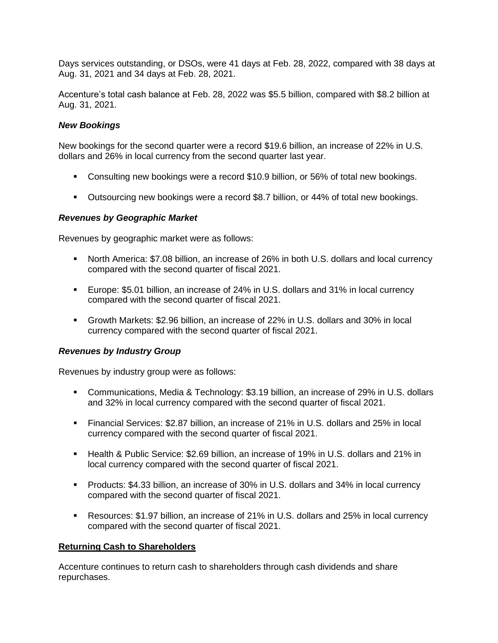Days services outstanding, or DSOs, were 41 days at Feb. 28, 2022, compared with 38 days at Aug. 31, 2021 and 34 days at Feb. 28, 2021.

Accenture's total cash balance at Feb. 28, 2022 was \$5.5 billion, compared with \$8.2 billion at Aug. 31, 2021.

### *New Bookings*

New bookings for the second quarter were a record \$19.6 billion, an increase of 22% in U.S. dollars and 26% in local currency from the second quarter last year.

- Consulting new bookings were a record \$10.9 billion, or 56% of total new bookings.
- Outsourcing new bookings were a record \$8.7 billion, or 44% of total new bookings.

### *Revenues by Geographic Market*

Revenues by geographic market were as follows:

- North America: \$7.08 billion, an increase of 26% in both U.S. dollars and local currency compared with the second quarter of fiscal 2021.
- Europe: \$5.01 billion, an increase of 24% in U.S. dollars and 31% in local currency compared with the second quarter of fiscal 2021.
- Growth Markets: \$2.96 billion, an increase of 22% in U.S. dollars and 30% in local currency compared with the second quarter of fiscal 2021.

### *Revenues by Industry Group*

Revenues by industry group were as follows:

- Communications, Media & Technology: \$3.19 billion, an increase of 29% in U.S. dollars and 32% in local currency compared with the second quarter of fiscal 2021.
- Financial Services: \$2.87 billion, an increase of 21% in U.S. dollars and 25% in local currency compared with the second quarter of fiscal 2021.
- Health & Public Service: \$2.69 billion, an increase of 19% in U.S. dollars and 21% in local currency compared with the second quarter of fiscal 2021.
- Products: \$4.33 billion, an increase of 30% in U.S. dollars and 34% in local currency compared with the second quarter of fiscal 2021.
- Resources: \$1.97 billion, an increase of 21% in U.S. dollars and 25% in local currency compared with the second quarter of fiscal 2021.

### **Returning Cash to Shareholders**

Accenture continues to return cash to shareholders through cash dividends and share repurchases.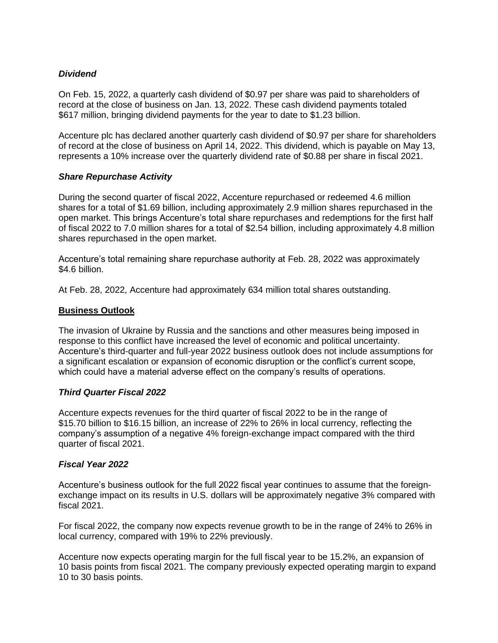### *Dividend*

On Feb. 15, 2022, a quarterly cash dividend of \$0.97 per share was paid to shareholders of record at the close of business on Jan. 13, 2022. These cash dividend payments totaled \$617 million, bringing dividend payments for the year to date to \$1.23 billion.

Accenture plc has declared another quarterly cash dividend of \$0.97 per share for shareholders of record at the close of business on April 14, 2022. This dividend, which is payable on May 13, represents a 10% increase over the quarterly dividend rate of \$0.88 per share in fiscal 2021.

#### *Share Repurchase Activity*

During the second quarter of fiscal 2022, Accenture repurchased or redeemed 4.6 million shares for a total of \$1.69 billion, including approximately 2.9 million shares repurchased in the open market. This brings Accenture's total share repurchases and redemptions for the first half of fiscal 2022 to 7.0 million shares for a total of \$2.54 billion, including approximately 4.8 million shares repurchased in the open market.

Accenture's total remaining share repurchase authority at Feb. 28, 2022 was approximately \$4.6 billion.

At Feb. 28, 2022, Accenture had approximately 634 million total shares outstanding.

### **Business Outlook**

The invasion of Ukraine by Russia and the sanctions and other measures being imposed in response to this conflict have increased the level of economic and political uncertainty. Accenture's third-quarter and full-year 2022 business outlook does not include assumptions for a significant escalation or expansion of economic disruption or the conflict's current scope, which could have a material adverse effect on the company's results of operations.

#### *Third Quarter Fiscal 2022*

Accenture expects revenues for the third quarter of fiscal 2022 to be in the range of \$15.70 billion to \$16.15 billion, an increase of 22% to 26% in local currency, reflecting the company's assumption of a negative 4% foreign-exchange impact compared with the third quarter of fiscal 2021.

#### *Fiscal Year 2022*

Accenture's business outlook for the full 2022 fiscal year continues to assume that the foreignexchange impact on its results in U.S. dollars will be approximately negative 3% compared with fiscal 2021.

For fiscal 2022, the company now expects revenue growth to be in the range of 24% to 26% in local currency, compared with 19% to 22% previously.

Accenture now expects operating margin for the full fiscal year to be 15.2%, an expansion of 10 basis points from fiscal 2021. The company previously expected operating margin to expand 10 to 30 basis points.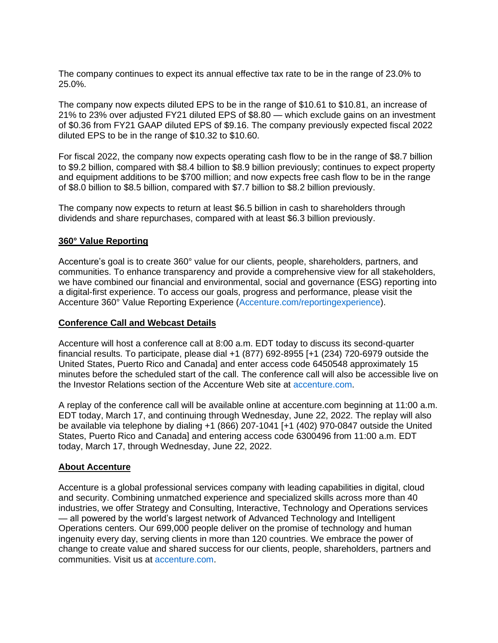The company continues to expect its annual effective tax rate to be in the range of 23.0% to 25.0%.

The company now expects diluted EPS to be in the range of \$10.61 to \$10.81, an increase of 21% to 23% over adjusted FY21 diluted EPS of \$8.80 — which exclude gains on an investment of \$0.36 from FY21 GAAP diluted EPS of \$9.16. The company previously expected fiscal 2022 diluted EPS to be in the range of \$10.32 to \$10.60.

For fiscal 2022, the company now expects operating cash flow to be in the range of \$8.7 billion to \$9.2 billion, compared with \$8.4 billion to \$8.9 billion previously; continues to expect property and equipment additions to be \$700 million; and now expects free cash flow to be in the range of \$8.0 billion to \$8.5 billion, compared with \$7.7 billion to \$8.2 billion previously.

The company now expects to return at least \$6.5 billion in cash to shareholders through dividends and share repurchases, compared with at least \$6.3 billion previously.

#### **360° Value Reporting**

Accenture's goal is to create 360° value for our clients, people, shareholders, partners, and communities. To enhance transparency and provide a comprehensive view for all stakeholders, we have combined our financial and environmental, social and governance (ESG) reporting into a digital-first experience. To access our goals, progress and performance, please visit the Accenture 360° Value Reporting Experience [\(Accenture.com/reportingexperience\)](https://www.accenture.com/reportingexperience).

#### **Conference Call and Webcast Details**

Accenture will host a conference call at 8:00 a.m. EDT today to discuss its second-quarter financial results. To participate, please dial +1 (877) 692-8955 [+1 (234) 720-6979 outside the United States, Puerto Rico and Canada] and enter access code 6450548 approximately 15 minutes before the scheduled start of the call. The conference call will also be accessible live on the Investor Relations section of the Accenture Web site at [accenture.com.](http://www.accenture.com/)

A replay of the conference call will be available online at accenture.com beginning at 11:00 a.m. EDT today, March 17, and continuing through Wednesday, June 22, 2022. The replay will also be available via telephone by dialing +1 (866) 207-1041 [+1 (402) 970-0847 outside the United States, Puerto Rico and Canada] and entering access code 6300496 from 11:00 a.m. EDT today, March 17, through Wednesday, June 22, 2022.

### **About Accenture**

Accenture is a global professional services company with leading capabilities in digital, cloud and security. Combining unmatched experience and specialized skills across more than 40 industries, we offer Strategy and Consulting, Interactive, Technology and Operations services — all powered by the world's largest network of Advanced Technology and Intelligent Operations centers. Our 699,000 people deliver on the promise of technology and human ingenuity every day, serving clients in more than 120 countries. We embrace the power of change to create value and shared success for our clients, people, shareholders, partners and communities. Visit us at [accenture.com.](http://www.accenture.com/)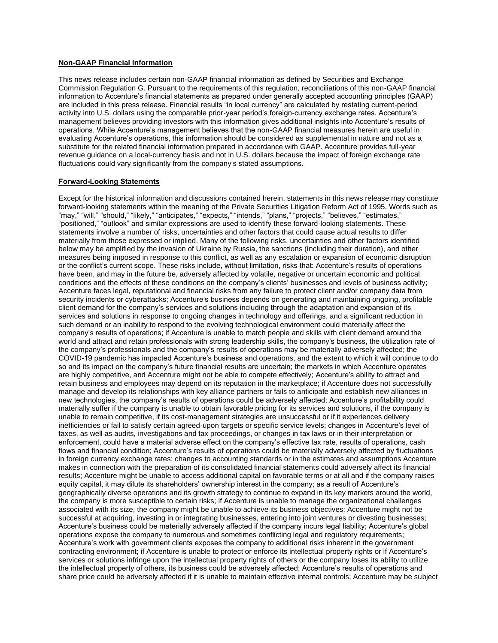#### **Non-GAAP Financial Information**

This news release includes certain non-GAAP financial information as defined by Securities and Exchange Commission Regulation G. Pursuant to the requirements of this regulation, reconciliations of this non-GAAP financial information to Accenture's financial statements as prepared under generally accepted accounting principles (GAAP) are included in this press release. Financial results "in local currency" are calculated by restating current-period activity into U.S. dollars using the comparable prior-year period's foreign-currency exchange rates. Accenture's management believes providing investors with this information gives additional insights into Accenture's results of operations. While Accenture's management believes that the non-GAAP financial measures herein are useful in evaluating Accenture's operations, this information should be considered as supplemental in nature and not as a substitute for the related financial information prepared in accordance with GAAP. Accenture provides full-year revenue guidance on a local-currency basis and not in U.S. dollars because the impact of foreign exchange rate fluctuations could vary significantly from the company's stated assumptions.

#### **Forward-Looking Statements**

Except for the historical information and discussions contained herein, statements in this news release may constitute forward-looking statements within the meaning of the Private Securities Litigation Reform Act of 1995. Words such as "may," "will," "should," "likely," "anticipates," "expects," "intends," "plans," "projects," "believes," "estimates," "positioned," "outlook" and similar expressions are used to identify these forward-looking statements. These statements involve a number of risks, uncertainties and other factors that could cause actual results to differ materially from those expressed or implied. Many of the following risks, uncertainties and other factors identified below may be amplified by the invasion of Ukraine by Russia, the sanctions (including their duration), and other measures being imposed in response to this conflict, as well as any escalation or expansion of economic disruption or the conflict's current scope. These risks include, without limitation, risks that: Accenture's results of operations have been, and may in the future be, adversely affected by volatile, negative or uncertain economic and political conditions and the effects of these conditions on the company's clients' businesses and levels of business activity; Accenture faces legal, reputational and financial risks from any failure to protect client and/or company data from security incidents or cyberattacks; Accenture's business depends on generating and maintaining ongoing, profitable client demand for the company's services and solutions including through the adaptation and expansion of its services and solutions in response to ongoing changes in technology and offerings, and a significant reduction in such demand or an inability to respond to the evolving technological environment could materially affect the company's results of operations; if Accenture is unable to match people and skills with client demand around the world and attract and retain professionals with strong leadership skills, the company's business, the utilization rate of the company's professionals and the company's results of operations may be materially adversely affected; the COVID-19 pandemic has impacted Accenture's business and operations, and the extent to which it will continue to do so and its impact on the company's future financial results are uncertain; the markets in which Accenture operates are highly competitive, and Accenture might not be able to compete effectively; Accenture's ability to attract and retain business and employees may depend on its reputation in the marketplace; if Accenture does not successfully manage and develop its relationships with key alliance partners or fails to anticipate and establish new alliances in new technologies, the company's results of operations could be adversely affected; Accenture's profitability could materially suffer if the company is unable to obtain favorable pricing for its services and solutions, if the company is unable to remain competitive, if its cost-management strategies are unsuccessful or if it experiences delivery inefficiencies or fail to satisfy certain agreed-upon targets or specific service levels; changes in Accenture's level of taxes, as well as audits, investigations and tax proceedings, or changes in tax laws or in their interpretation or enforcement, could have a material adverse effect on the company's effective tax rate, results of operations, cash flows and financial condition; Accenture's results of operations could be materially adversely affected by fluctuations in foreign currency exchange rates; changes to accounting standards or in the estimates and assumptions Accenture makes in connection with the preparation of its consolidated financial statements could adversely affect its financial results; Accenture might be unable to access additional capital on favorable terms or at all and if the company raises equity capital, it may dilute its shareholders' ownership interest in the company; as a result of Accenture's geographically diverse operations and its growth strategy to continue to expand in its key markets around the world, the company is more susceptible to certain risks; if Accenture is unable to manage the organizational challenges associated with its size, the company might be unable to achieve its business objectives; Accenture might not be successful at acquiring, investing in or integrating businesses, entering into joint ventures or divesting businesses; Accenture's business could be materially adversely affected if the company incurs legal liability; Accenture's global operations expose the company to numerous and sometimes conflicting legal and regulatory requirements; Accenture's work with government clients exposes the company to additional risks inherent in the government contracting environment; if Accenture is unable to protect or enforce its intellectual property rights or if Accenture's services or solutions infringe upon the intellectual property rights of others or the company loses its ability to utilize the intellectual property of others, its business could be adversely affected; Accenture's results of operations and share price could be adversely affected if it is unable to maintain effective internal controls; Accenture may be subject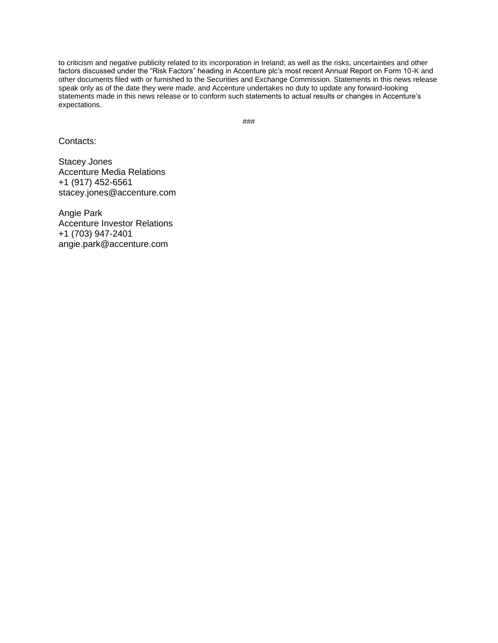to criticism and negative publicity related to its incorporation in Ireland; as well as the risks, uncertainties and other factors discussed under the "Risk Factors" heading in Accenture plc's most recent Annual Report on Form 10-K and other documents filed with or furnished to the Securities and Exchange Commission. Statements in this news release speak only as of the date they were made, and Accenture undertakes no duty to update any forward-looking statements made in this news release or to conform such statements to actual results or changes in Accenture's expectations.

Contacts:

Stacey Jones Accenture Media Relations +1 (917) 452-6561 stacey.jones@accenture.com

Angie Park Accenture Investor Relations +1 (703) 947-2401 angie.park@accenture.com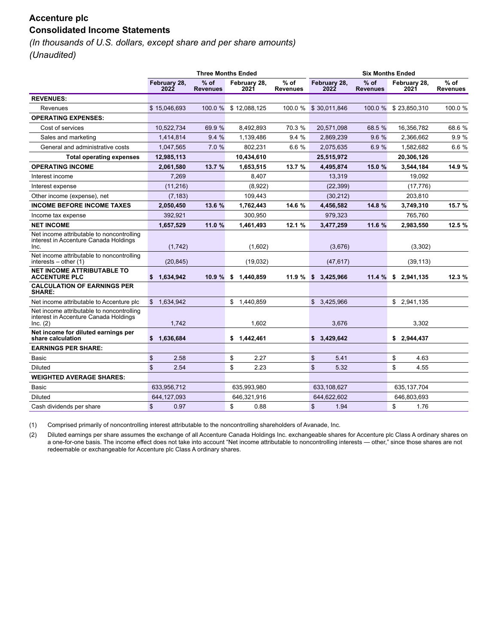## **Accenture plc Consolidated Income Statements**

*(In thousands of U.S. dollars, except share and per share amounts) (Unaudited)*

|                                                                                                |                      |                                            | <b>Three Months Ended</b> |                         |                      |                         |                      |                           |  |  |  |  |  |  |  |  |  |  |  |  |  |  |  |  |  |  |  |           |        |
|------------------------------------------------------------------------------------------------|----------------------|--------------------------------------------|---------------------------|-------------------------|----------------------|-------------------------|----------------------|---------------------------|--|--|--|--|--|--|--|--|--|--|--|--|--|--|--|--|--|--|--|-----------|--------|
|                                                                                                | February 28,<br>2022 | $%$ of<br><b>Revenues</b>                  | February 28,<br>2021      | % of<br><b>Revenues</b> | February 28,<br>2022 | % of<br><b>Revenues</b> | February 28,<br>2021 | $%$ of<br><b>Revenues</b> |  |  |  |  |  |  |  |  |  |  |  |  |  |  |  |  |  |  |  |           |        |
| <b>REVENUES:</b>                                                                               |                      |                                            |                           |                         |                      |                         |                      |                           |  |  |  |  |  |  |  |  |  |  |  |  |  |  |  |  |  |  |  |           |        |
| Revenues                                                                                       | \$15,046,693         | 100.0 %                                    | \$12,088,125              | 100.0 %                 | \$30,011,846         | 100.0 %                 | \$23,850,310         | 100.0 %                   |  |  |  |  |  |  |  |  |  |  |  |  |  |  |  |  |  |  |  |           |        |
| <b>OPERATING EXPENSES:</b>                                                                     |                      |                                            |                           |                         |                      |                         |                      |                           |  |  |  |  |  |  |  |  |  |  |  |  |  |  |  |  |  |  |  |           |        |
| Cost of services                                                                               | 10,522,734           | 69.9 %                                     | 8,492,893                 | 70.3 %                  | 20,571,098<br>68.5 % |                         | 16,356,782           | 68.6 %                    |  |  |  |  |  |  |  |  |  |  |  |  |  |  |  |  |  |  |  |           |        |
| Sales and marketing                                                                            | 1,414,814            | 9.4%                                       | 1,139,486                 | 9.4%                    | 2,869,239            | 9.6%                    | 2,366,662            | 9.9%                      |  |  |  |  |  |  |  |  |  |  |  |  |  |  |  |  |  |  |  |           |        |
| General and administrative costs                                                               | 1,047,565            | 7.0 %                                      | 802,231                   | 6.6%                    | 2,075,635            | 6.9%                    | 1,582,682            | 6.6 %                     |  |  |  |  |  |  |  |  |  |  |  |  |  |  |  |  |  |  |  |           |        |
| <b>Total operating expenses</b>                                                                | 12,985,113           |                                            | 10,434,610                |                         | 25,515,972           |                         | 20,306,126           |                           |  |  |  |  |  |  |  |  |  |  |  |  |  |  |  |  |  |  |  |           |        |
| <b>OPERATING INCOME</b>                                                                        | 2,061,580            | 13.7 %                                     | 1,653,515                 | 13.7 %                  | 4,495,874            | 15.0 %                  | 3,544,184            | 14.9 %                    |  |  |  |  |  |  |  |  |  |  |  |  |  |  |  |  |  |  |  |           |        |
| Interest income                                                                                | 7,269                |                                            | 8,407                     |                         | 13,319               |                         | 19,092               |                           |  |  |  |  |  |  |  |  |  |  |  |  |  |  |  |  |  |  |  |           |        |
| Interest expense                                                                               | (11, 216)            |                                            | (8,922)                   |                         | (22, 399)            |                         | (17, 776)            |                           |  |  |  |  |  |  |  |  |  |  |  |  |  |  |  |  |  |  |  |           |        |
| Other income (expense), net                                                                    | (7, 183)             |                                            | 109,443                   |                         | (30, 212)            |                         | 203,810              |                           |  |  |  |  |  |  |  |  |  |  |  |  |  |  |  |  |  |  |  |           |        |
| <b>INCOME BEFORE INCOME TAXES</b>                                                              | 2,050,450            | 13.6 %                                     | 1,762,443                 | 14.6 %                  | 4,456,582            | 14.8 %                  | 3,749,310            | 15.7 %                    |  |  |  |  |  |  |  |  |  |  |  |  |  |  |  |  |  |  |  |           |        |
| Income tax expense                                                                             | 392.921              |                                            | 300,950                   |                         | 979,323              |                         |                      |                           |  |  |  |  |  |  |  |  |  |  |  |  |  |  |  |  |  |  |  |           |        |
| <b>NET INCOME</b>                                                                              | 1,657,529            | 11.0 %<br>12.1 %<br>1,461,493<br>3,477,259 |                           | 11.6 %                  |                      |                         |                      |                           |  |  |  |  |  |  |  |  |  |  |  |  |  |  |  |  |  |  |  | 2,983,550 | 12.5 % |
| Net income attributable to noncontrolling<br>interest in Accenture Canada Holdings<br>Inc.     | (1,742)              |                                            | (1,602)                   |                         | (3,676)              |                         | (3,302)              |                           |  |  |  |  |  |  |  |  |  |  |  |  |  |  |  |  |  |  |  |           |        |
| Net income attributable to noncontrolling<br>interests $-$ other (1)                           | (20, 845)            |                                            | (19,032)                  |                         | (47, 617)            |                         | (39, 113)            |                           |  |  |  |  |  |  |  |  |  |  |  |  |  |  |  |  |  |  |  |           |        |
| <b>NET INCOME ATTRIBUTABLE TO</b><br><b>ACCENTURE PLC</b>                                      | \$1,634,942          | 10.9 %                                     | \$1,440,859               | 11.9 %                  | \$3,425,966          |                         | 11.4 % \$ 2,941,135  | 12.3 %                    |  |  |  |  |  |  |  |  |  |  |  |  |  |  |  |  |  |  |  |           |        |
| <b>CALCULATION OF EARNINGS PER</b><br><b>SHARE:</b>                                            |                      |                                            |                           |                         |                      |                         |                      |                           |  |  |  |  |  |  |  |  |  |  |  |  |  |  |  |  |  |  |  |           |        |
| Net income attributable to Accenture plc                                                       | \$1,634,942          |                                            | \$1.440.859               |                         | \$3,425,966          |                         | \$2,941,135          |                           |  |  |  |  |  |  |  |  |  |  |  |  |  |  |  |  |  |  |  |           |        |
| Net income attributable to noncontrolling<br>interest in Accenture Canada Holdings<br>Inc. (2) | 1,742                |                                            | 1,602                     |                         | 3,676                |                         | 3,302                |                           |  |  |  |  |  |  |  |  |  |  |  |  |  |  |  |  |  |  |  |           |        |
| Net income for diluted earnings per<br>share calculation                                       | \$1,636,684          |                                            | \$1,442,461               |                         | \$3,429,642          |                         | \$2,944,437          |                           |  |  |  |  |  |  |  |  |  |  |  |  |  |  |  |  |  |  |  |           |        |
| <b>EARNINGS PER SHARE:</b>                                                                     |                      |                                            |                           |                         |                      |                         |                      |                           |  |  |  |  |  |  |  |  |  |  |  |  |  |  |  |  |  |  |  |           |        |
| Basic                                                                                          | \$<br>2.58           |                                            | \$<br>2.27                |                         | \$<br>5.41           |                         | \$<br>4.63           |                           |  |  |  |  |  |  |  |  |  |  |  |  |  |  |  |  |  |  |  |           |        |
| <b>Diluted</b>                                                                                 | \$<br>2.54           |                                            | \$<br>2.23                |                         | \$<br>5.32           |                         | \$<br>4.55           |                           |  |  |  |  |  |  |  |  |  |  |  |  |  |  |  |  |  |  |  |           |        |
| <b>WEIGHTED AVERAGE SHARES:</b>                                                                |                      |                                            |                           |                         |                      |                         |                      |                           |  |  |  |  |  |  |  |  |  |  |  |  |  |  |  |  |  |  |  |           |        |
| Basic                                                                                          | 633,956,712          |                                            | 635,993,980               |                         | 633,108,627          |                         | 635, 137, 704        |                           |  |  |  |  |  |  |  |  |  |  |  |  |  |  |  |  |  |  |  |           |        |
| <b>Diluted</b>                                                                                 | 644, 127, 093        |                                            | 646,321,916               |                         | 644,622,602          |                         | 646,803,693          |                           |  |  |  |  |  |  |  |  |  |  |  |  |  |  |  |  |  |  |  |           |        |
| Cash dividends per share                                                                       | \$<br>0.97           |                                            | \$<br>0.88                |                         | \$<br>1.94           |                         | \$<br>1.76           |                           |  |  |  |  |  |  |  |  |  |  |  |  |  |  |  |  |  |  |  |           |        |

(1) Comprised primarily of noncontrolling interest attributable to the noncontrolling shareholders of Avanade, Inc.

(2) Diluted earnings per share assumes the exchange of all Accenture Canada Holdings Inc. exchangeable shares for Accenture plc Class A ordinary shares on a one-for-one basis. The income effect does not take into account "Net income attributable to noncontrolling interests — other," since those shares are not redeemable or exchangeable for Accenture plc Class A ordinary shares.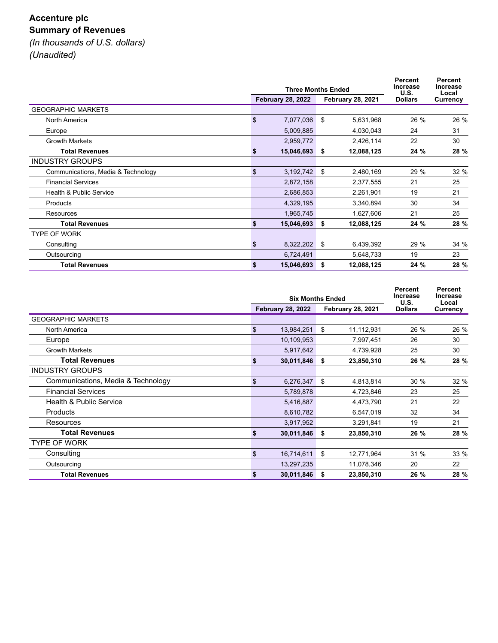## **Accenture plc Summary of Revenues**

*(In thousands of U.S. dollars) (Unaudited)*

|                                    | <b>Three Months Ended</b> | <b>Percent</b><br>Increase | <b>Percent</b><br>Increase |      |
|------------------------------------|---------------------------|----------------------------|----------------------------|------|
|                                    | <b>February 28, 2022</b>  | U.S.<br><b>Dollars</b>     | Local<br>Currency          |      |
| <b>GEOGRAPHIC MARKETS</b>          |                           | <b>February 28, 2021</b>   |                            |      |
| North America                      | \$<br>7,077,036           | \$<br>5,631,968            | 26 %                       | 26 % |
| Europe                             | 5,009,885                 | 4,030,043                  | 24                         | 31   |
| <b>Growth Markets</b>              | 2,959,772                 | 2,426,114                  | 22                         | 30   |
| <b>Total Revenues</b>              | \$<br>15,046,693          | \$<br>12,088,125           | 24 %                       | 28 % |
| <b>INDUSTRY GROUPS</b>             |                           |                            |                            |      |
| Communications, Media & Technology | \$<br>3,192,742           | \$<br>2,480,169            | 29 %                       | 32 % |
| <b>Financial Services</b>          | 2,872,158                 | 2,377,555                  | 21                         | 25   |
| <b>Health &amp; Public Service</b> | 2,686,853                 | 2,261,901                  | 19                         | 21   |
| <b>Products</b>                    | 4,329,195                 | 3,340,894                  | 30                         | 34   |
| Resources                          | 1,965,745                 | 1,627,606                  | 21                         | 25   |
| <b>Total Revenues</b>              | \$<br>15,046,693          | \$<br>12,088,125           | 24 %                       | 28 % |
| <b>TYPE OF WORK</b>                |                           |                            |                            |      |
| Consulting                         | \$<br>8,322,202           | \$<br>6,439,392            | 29 %                       | 34 % |
| Outsourcing                        | 6,724,491                 | 5,648,733                  | 19                         | 23   |
| <b>Total Revenues</b>              | \$<br>15,046,693          | \$<br>12,088,125           | 24 %                       | 28 % |

|                                    |    | <b>Six Months Ended</b>  | <b>Percent</b><br>Increase<br>U.S. | <b>Percent</b><br>Increase<br>Local |                |          |  |
|------------------------------------|----|--------------------------|------------------------------------|-------------------------------------|----------------|----------|--|
|                                    |    | <b>February 28, 2022</b> | <b>February 28, 2021</b>           |                                     | <b>Dollars</b> | Currency |  |
| <b>GEOGRAPHIC MARKETS</b>          |    |                          |                                    |                                     |                |          |  |
| North America                      | \$ | 13,984,251               | \$                                 | 11,112,931                          | 26 %           | 26 %     |  |
| Europe                             |    | 10,109,953               |                                    | 7,997,451                           | 26             | 30       |  |
| <b>Growth Markets</b>              |    | 5,917,642                |                                    | 4,739,928                           | 25             | 30       |  |
| <b>Total Revenues</b>              | \$ | 30,011,846               | \$                                 | 23,850,310                          | 26 %           | 28 %     |  |
| <b>INDUSTRY GROUPS</b>             |    |                          |                                    |                                     |                |          |  |
| Communications, Media & Technology | \$ | 6,276,347                | \$                                 | 4,813,814                           | 30 %           | 32 %     |  |
| <b>Financial Services</b>          |    | 5,789,878                |                                    | 4,723,846                           | 23             | 25       |  |
| <b>Health &amp; Public Service</b> |    | 5,416,887                |                                    | 4,473,790                           | 21             | 22       |  |
| Products                           |    | 8,610,782                |                                    | 6,547,019                           | 32             | 34       |  |
| <b>Resources</b>                   |    | 3,917,952                |                                    | 3,291,841                           | 19             | 21       |  |
| <b>Total Revenues</b>              | \$ | 30,011,846               | \$                                 | 23,850,310                          | 26 %           | 28 %     |  |
| <b>TYPE OF WORK</b>                |    |                          |                                    |                                     |                |          |  |
| Consulting                         | \$ | 16,714,611               | \$                                 | 12,771,964                          | 31 %           | 33 %     |  |
| Outsourcing                        |    | 13,297,235               |                                    | 11,078,346                          | 20             | 22       |  |
| <b>Total Revenues</b>              | \$ | 30,011,846               | \$                                 | 23,850,310                          | 26 %           | 28 %     |  |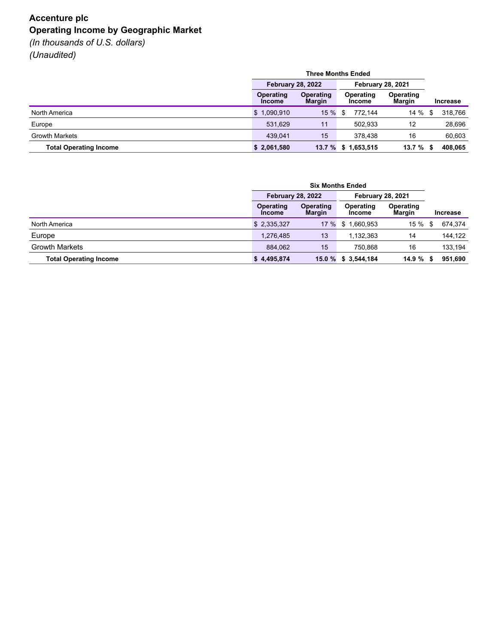# **Accenture plc Operating Income by Geographic Market**

*(In thousands of U.S. dollars) (Unaudited)*

|                               | <b>February 28, 2022</b>   |                            | <b>February 28, 2021</b> |                            |                 |
|-------------------------------|----------------------------|----------------------------|--------------------------|----------------------------|-----------------|
|                               | Operating<br><b>Income</b> | <b>Operating</b><br>Margin | Operating<br>Income      | <b>Operating</b><br>Margin | <b>Increase</b> |
| North America                 | \$1,090,910                | 15 %                       | 772.144<br>\$.           | $14 \%$                    | 318,766<br>£.   |
| Europe                        | 531.629                    | 11                         | 502,933                  | 12                         | 28,696          |
| <b>Growth Markets</b>         | 439.041                    | 15                         | 378.438                  | 16                         | 60,603          |
| <b>Total Operating Income</b> | \$2,061,580                |                            | 13.7 % \$ 1,653,515      | 13.7 %                     | 408.065<br>- 5  |

|                               | <b>February 28, 2022</b>          |                                   | <b>February 28, 2021</b>   |                            |                 |
|-------------------------------|-----------------------------------|-----------------------------------|----------------------------|----------------------------|-----------------|
|                               | <b>Operating</b><br><b>Income</b> | <b>Operating</b><br><b>Margin</b> | Operating<br><b>Income</b> | <b>Operating</b><br>Margin | <b>Increase</b> |
| North America                 | \$2,335,327                       | 17%                               | \$1,660,953                | $15 \%$                    | 674,374<br>S    |
| Europe                        | 1,276,485                         | 13                                | 1,132,363                  | 14                         | 144,122         |
| <b>Growth Markets</b>         | 884.062                           | 15                                | 750.868                    | 16                         | 133,194         |
| <b>Total Operating Income</b> | \$4,495,874                       |                                   | 15.0 % \$ 3,544,184        | 14.9 %                     | 951.690<br>-S   |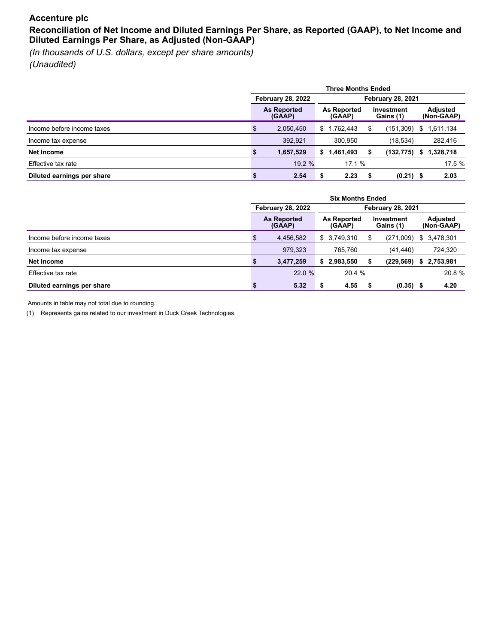### **Accenture plc Reconciliation of Net Income and Diluted Earnings Per Share, as Reported (GAAP), to Net Income and Diluted Earnings Per Share, as Adjusted (Non-GAAP)**

*(In thousands of U.S. dollars, except per share amounts) (Unaudited)*

|                            | <b>Three Months Ended</b> |                              |    |                          |   |                         |    |                        |  |  |  |
|----------------------------|---------------------------|------------------------------|----|--------------------------|---|-------------------------|----|------------------------|--|--|--|
|                            | <b>February 28, 2022</b>  |                              |    | <b>February 28, 2021</b> |   |                         |    |                        |  |  |  |
|                            |                           | <b>As Reported</b><br>(GAAP) |    | As Reported<br>(GAAP)    |   | Investment<br>Gains (1) |    | Adjusted<br>(Non-GAAP) |  |  |  |
| Income before income taxes | \$.                       | 2,050,450                    |    | \$1,762,443              | S | (151,309)               | \$ | 1,611,134              |  |  |  |
| Income tax expense         |                           | 392,921                      |    | 300,950                  |   | (18, 534)               |    | 282,416                |  |  |  |
| Net Income                 |                           | 1,657,529                    | \$ | 1,461,493                | S | (132,775)               | S  | 1,328,718              |  |  |  |
| Effective tax rate         |                           | 19.2 %                       |    | 17.1 %                   |   |                         |    | 17.5 %                 |  |  |  |
| Diluted earnings per share |                           | 2.54                         | \$ | 2.23                     | S | $(0.21)$ \$             |    | 2.03                   |  |  |  |

|                            | <b>Six Months Ended</b>  |                              |    |                       |   |                          |    |                        |  |
|----------------------------|--------------------------|------------------------------|----|-----------------------|---|--------------------------|----|------------------------|--|
|                            | <b>February 28, 2022</b> |                              |    |                       |   | <b>February 28, 2021</b> |    |                        |  |
|                            |                          | <b>As Reported</b><br>(GAAP) |    | As Reported<br>(GAAP) |   | Investment<br>Gains (1)  |    | Adjusted<br>(Non-GAAP) |  |
| Income before income taxes |                          | 4,456,582                    |    | \$3,749,310           | S | (271,009)                | \$ | 3,478,301              |  |
| Income tax expense         |                          | 979,323                      |    | 765.760               |   | (41, 440)                |    | 724,320                |  |
| Net Income                 |                          | 3,477,259                    |    | \$2,983,550           | S | (229, 569)               |    | 2,753,981              |  |
| Effective tax rate         |                          | 22.0%                        |    | 20.4 %                |   |                          |    | 20.8 %                 |  |
| Diluted earnings per share |                          | 5.32                         | \$ | 4.55                  |   | $(0.35)$ \$              |    | 4.20                   |  |

Amounts in table may not total due to rounding.

(1) Represents gains related to our investment in Duck Creek Technologies.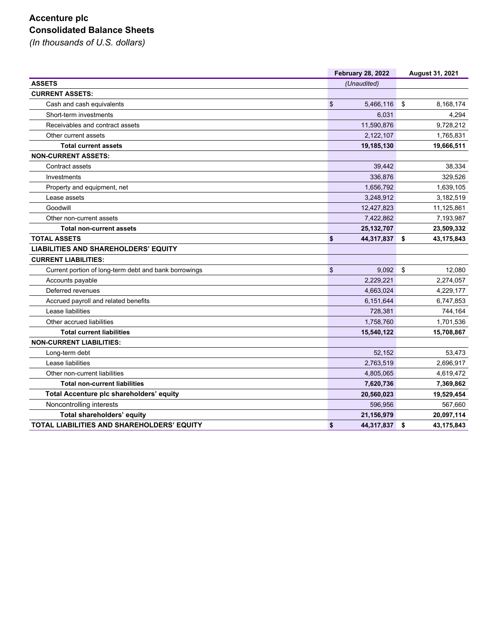## **Accenture plc Consolidated Balance Sheets**

*(In thousands of U.S. dollars)*

|                                                       | <b>February 28, 2022</b> | August 31, 2021  |  |  |  |
|-------------------------------------------------------|--------------------------|------------------|--|--|--|
| <b>ASSETS</b>                                         | (Unaudited)              |                  |  |  |  |
| <b>CURRENT ASSETS:</b>                                |                          |                  |  |  |  |
| Cash and cash equivalents                             | \$<br>5,466,116          | \$<br>8,168,174  |  |  |  |
| Short-term investments                                | 6,031                    | 4,294            |  |  |  |
| Receivables and contract assets                       | 11,590,876               | 9,728,212        |  |  |  |
| Other current assets                                  | 2,122,107                | 1,765,831        |  |  |  |
| <b>Total current assets</b>                           | 19,185,130               | 19,666,511       |  |  |  |
| <b>NON-CURRENT ASSETS:</b>                            |                          |                  |  |  |  |
| Contract assets                                       | 39,442                   | 38,334           |  |  |  |
| Investments                                           | 336,876                  | 329,526          |  |  |  |
| Property and equipment, net                           | 1,656,792                | 1,639,105        |  |  |  |
| Lease assets                                          | 3,248,912                | 3,182,519        |  |  |  |
| Goodwill                                              | 12,427,823               | 11,125,861       |  |  |  |
| Other non-current assets                              | 7,422,862                | 7,193,987        |  |  |  |
| Total non-current assets                              | 25,132,707               | 23,509,332       |  |  |  |
| <b>TOTAL ASSETS</b>                                   | \$<br>44,317,837         | \$<br>43,175,843 |  |  |  |
| <b>LIABILITIES AND SHAREHOLDERS' EQUITY</b>           |                          |                  |  |  |  |
| <b>CURRENT LIABILITIES:</b>                           |                          |                  |  |  |  |
| Current portion of long-term debt and bank borrowings | \$<br>9,092              | -\$<br>12,080    |  |  |  |
| Accounts payable                                      | 2,229,221                | 2,274,057        |  |  |  |
| Deferred revenues                                     | 4,663,024                | 4,229,177        |  |  |  |
| Accrued payroll and related benefits                  | 6,151,644                | 6,747,853        |  |  |  |
| Lease liabilities                                     | 728,381                  | 744,164          |  |  |  |
| Other accrued liabilities                             | 1,758,760                | 1,701,536        |  |  |  |
| <b>Total current liabilities</b>                      | 15,540,122               | 15,708,867       |  |  |  |
| <b>NON-CURRENT LIABILITIES:</b>                       |                          |                  |  |  |  |
| Long-term debt                                        | 52,152                   | 53,473           |  |  |  |
| Lease liabilities                                     | 2,763,519                | 2,696,917        |  |  |  |
| Other non-current liabilities                         | 4,805,065                | 4,619,472        |  |  |  |
| <b>Total non-current liabilities</b>                  | 7,620,736                | 7,369,862        |  |  |  |
| Total Accenture plc shareholders' equity              | 20,560,023               | 19,529,454       |  |  |  |
| Noncontrolling interests                              | 596,956                  | 567,660          |  |  |  |
| Total shareholders' equity                            | 21,156,979               | 20,097,114       |  |  |  |
| TOTAL LIABILITIES AND SHAREHOLDERS' EQUITY            | \$<br>44,317,837         | \$<br>43,175,843 |  |  |  |